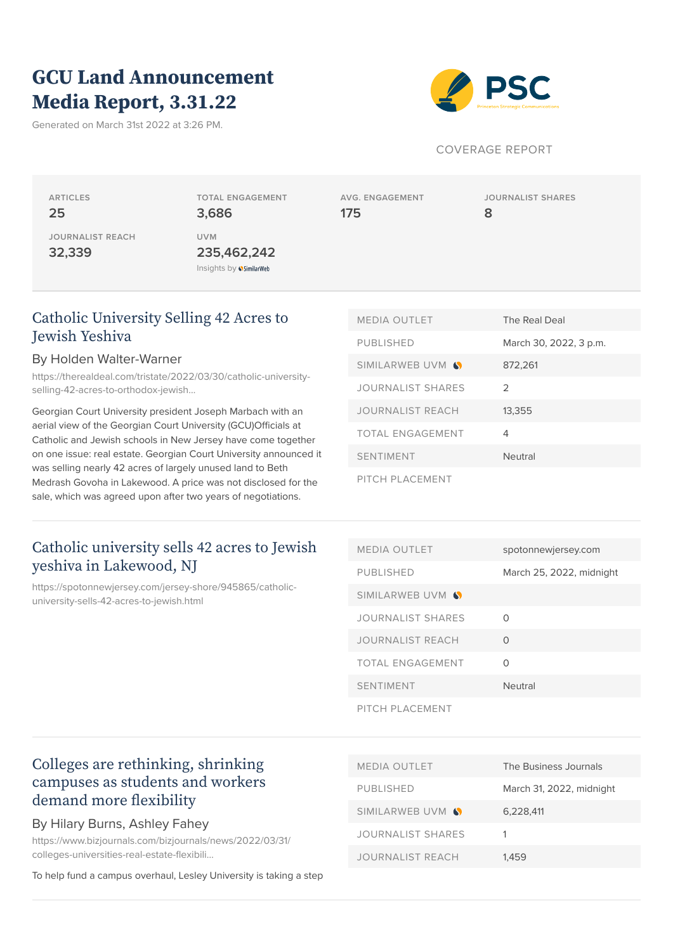# **GCU Land Announcement Media Report, 3.31.22**

Generated on March 31st 2022 at 3:26 PM.



#### COVERAGE REPORT

**ARTICLES 25 JOURNALIST REACH**

**32,339**

**TOTAL ENGAGEMENT 3,686 UVM 235,462,242** Insights by **SimilarWeb** 

**AVG. ENGAGEMENT 175**

**JOURNALIST SHARES 8**

### [Catholic University Selling 42 Acres to](https://therealdeal.com/tristate/2022/03/30/catholic-university-selling-42-acres-to-orthodox-jewish-yeshiva/) [Jewish Yeshiva](https://therealdeal.com/tristate/2022/03/30/catholic-university-selling-42-acres-to-orthodox-jewish-yeshiva/)

#### By Holden Walter-Warner

[https://therealdeal.com/tristate/2022/03/30/catholic-university](https://therealdeal.com/tristate/2022/03/30/catholic-university-selling-42-acres-to-orthodox-jewish-yeshiva/)[selling-42-acres-to-orthodox-jewish…](https://therealdeal.com/tristate/2022/03/30/catholic-university-selling-42-acres-to-orthodox-jewish-yeshiva/)

Georgian Court University president Joseph Marbach with an aerial view of the Georgian Court University (GCU)Officials at Catholic and Jewish schools in New Jersey have come together on one issue: real estate. Georgian Court University announced it was selling nearly 42 acres of largely unused land to Beth Medrash Govoha in Lakewood. A price was not disclosed for the sale, which was agreed upon after two years of negotiations.

### [Catholic university sells 42 acres to Jewish](https://spotonnewjersey.com/jersey-shore/945865/catholic-university-sells-42-acres-to-jewish.html) [yeshiva in Lakewood, NJ](https://spotonnewjersey.com/jersey-shore/945865/catholic-university-sells-42-acres-to-jewish.html)

[https://spotonnewjersey.com/jersey-shore/945865/catholic](https://spotonnewjersey.com/jersey-shore/945865/catholic-university-sells-42-acres-to-jewish.html)[university-sells-42-acres-to-jewish.html](https://spotonnewjersey.com/jersey-shore/945865/catholic-university-sells-42-acres-to-jewish.html)

| <b>MEDIA OUTLET</b>      | The Real Deal          |
|--------------------------|------------------------|
| <b>PUBLISHED</b>         | March 30, 2022, 3 p.m. |
| SIMILARWEB UVM <b>S</b>  | 872,261                |
| <b>JOURNALIST SHARES</b> | $\mathcal{P}$          |
| <b>JOURNALIST REACH</b>  | 13,355                 |
| TOTAL ENGAGEMENT         | 4                      |
| <b>SENTIMENT</b>         | Neutral                |
| PITCH PLACEMENT          |                        |

| <b>MEDIA OUTLET</b>     | spotonnewjersey.com      |
|-------------------------|--------------------------|
| <b>PUBLISHED</b>        | March 25, 2022, midnight |
| SIMILARWEB UVM S        |                          |
| JOURNALIST SHARES       | $\cap$                   |
| <b>JOURNALIST REACH</b> | ∩                        |
| TOTAL ENGAGEMENT        | Ω                        |
| <b>SENTIMENT</b>        | <b>Neutral</b>           |
| PITCH PLACEMENT         |                          |

### [Colleges are rethinking, shrinking](https://www.bizjournals.com/bizjournals/news/2022/03/31/colleges-universities-real-estate-flexibility.html) [campuses as students and workers](https://www.bizjournals.com/bizjournals/news/2022/03/31/colleges-universities-real-estate-flexibility.html) [demand more flexibility](https://www.bizjournals.com/bizjournals/news/2022/03/31/colleges-universities-real-estate-flexibility.html)

### By Hilary Burns, Ashley Fahey

[https://www.bizjournals.com/bizjournals/news/2022/03/31/](https://www.bizjournals.com/bizjournals/news/2022/03/31/colleges-universities-real-estate-flexibility.html) [colleges-universities-real-estate-flexibili…](https://www.bizjournals.com/bizjournals/news/2022/03/31/colleges-universities-real-estate-flexibility.html)

To help fund a campus overhaul, Lesley University is taking a step

| <b>MEDIA OUTLET</b>      | The Business Journals    |
|--------------------------|--------------------------|
| <b>PUBLISHED</b>         | March 31, 2022, midnight |
| SIMILARWEB UVM S         | 6.228.411                |
| <b>JOURNALIST SHARES</b> | 1                        |
| <b>JOURNALIST REACH</b>  | 1.459                    |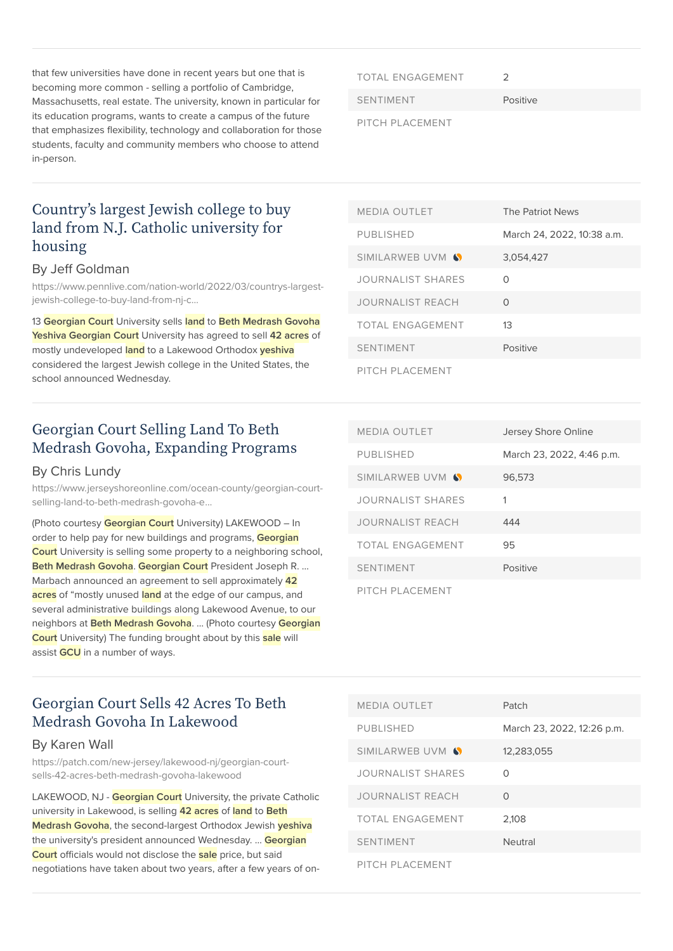that few universities have done in recent years but one that is becoming more common - selling a portfolio of Cambridge, Massachusetts, real estate. The university, known in particular for its education programs, wants to create a campus of the future that emphasizes flexibility, technology and collaboration for those students, faculty and community members who choose to attend in-person.

TOTAL ENGAGEMENT 2

SENTIMENT Positive

PITCH PLACEMENT

### [Country's largest Jewish college to buy](https://www.pennlive.com/nation-world/2022/03/countrys-largest-jewish-college-to-buy-land-from-nj-catholic-university-for-housing.html) [land from N.J. Catholic university for](https://www.pennlive.com/nation-world/2022/03/countrys-largest-jewish-college-to-buy-land-from-nj-catholic-university-for-housing.html) [housing](https://www.pennlive.com/nation-world/2022/03/countrys-largest-jewish-college-to-buy-land-from-nj-catholic-university-for-housing.html)

#### By Jeff Goldman

[https://www.pennlive.com/nation-world/2022/03/countrys-largest](https://www.pennlive.com/nation-world/2022/03/countrys-largest-jewish-college-to-buy-land-from-nj-catholic-university-for-housing.html)[jewish-college-to-buy-land-from-nj-c…](https://www.pennlive.com/nation-world/2022/03/countrys-largest-jewish-college-to-buy-land-from-nj-catholic-university-for-housing.html)

13 **Georgian Court** University sells **land** to **Beth Medrash Govoha Yeshiva Georgian Court** University has agreed to sell **42 acres** of mostly undeveloped **land** to a Lakewood Orthodox **yeshiva** considered the largest Jewish college in the United States, the school announced Wednesday.

### [Georgian Court Selling Land To Beth](https://www.jerseyshoreonline.com/ocean-county/georgian-court-selling-land-to-beth-medrash-govoha-expanding-programs/) [Medrash Govoha, Expanding Programs](https://www.jerseyshoreonline.com/ocean-county/georgian-court-selling-land-to-beth-medrash-govoha-expanding-programs/)

#### By Chris Lundy

[https://www.jerseyshoreonline.com/ocean-county/georgian-court](https://www.jerseyshoreonline.com/ocean-county/georgian-court-selling-land-to-beth-medrash-govoha-expanding-programs/)[selling-land-to-beth-medrash-govoha-e…](https://www.jerseyshoreonline.com/ocean-county/georgian-court-selling-land-to-beth-medrash-govoha-expanding-programs/)

(Photo courtesy **Georgian Court** University) LAKEWOOD – In order to help pay for new buildings and programs, **Georgian Court** University is selling some property to a neighboring school, **Beth Medrash Govoha**. **Georgian Court** President Joseph R. … Marbach announced an agreement to sell approximately **42 acres** of "mostly unused **land** at the edge of our campus, and several administrative buildings along Lakewood Avenue, to our neighbors at **Beth Medrash Govoha**. … (Photo courtesy **Georgian Court** University) The funding brought about by this **sale** will assist **GCU** in a number of ways.

| <b>MEDIA OUTLET</b>      | The Patriot News           |
|--------------------------|----------------------------|
| <b>PUBLISHED</b>         | March 24, 2022, 10:38 a.m. |
| SIMILARWEB UVM S         | 3.054.427                  |
| <b>JOURNALIST SHARES</b> | ∩                          |
| <b>JOURNALIST REACH</b>  | $\Omega$                   |
| <b>TOTAL ENGAGEMENT</b>  | 13                         |
| <b>SENTIMENT</b>         | Positive                   |
| PITCH PLACEMENT          |                            |

| <b>MEDIA OUTLET</b>      | Jersey Shore Online       |
|--------------------------|---------------------------|
| <b>PUBLISHED</b>         | March 23, 2022, 4:46 p.m. |
| SIMILARWEB UVM S         | 96,573                    |
| <b>JOURNALIST SHARES</b> | 1                         |
| <b>JOURNALIST REACH</b>  | 444                       |
| TOTAL ENGAGEMENT         | 95                        |
| <b>SENTIMENT</b>         | Positive                  |
| PITCH PLACEMENT          |                           |

### [Georgian Court Sells 42 Acres To Beth](https://patch.com/new-jersey/lakewood-nj/georgian-court-sells-42-acres-beth-medrash-govoha-lakewood) [Medrash Govoha In Lakewood](https://patch.com/new-jersey/lakewood-nj/georgian-court-sells-42-acres-beth-medrash-govoha-lakewood)

#### By Karen Wall

[https://patch.com/new-jersey/lakewood-nj/georgian-court](https://patch.com/new-jersey/lakewood-nj/georgian-court-sells-42-acres-beth-medrash-govoha-lakewood)[sells-42-acres-beth-medrash-govoha-lakewood](https://patch.com/new-jersey/lakewood-nj/georgian-court-sells-42-acres-beth-medrash-govoha-lakewood)

LAKEWOOD, NJ - **Georgian Court** University, the private Catholic university in Lakewood, is selling **42 acres** of **land** to **Beth Medrash Govoha**, the second-largest Orthodox Jewish **yeshiva** the university's president announced Wednesday. … **Georgian Court** officials would not disclose the **sale** price, but said negotiations have taken about two years, after a few years of on-

| <b>MEDIA OUTLET</b>      | Patch                      |
|--------------------------|----------------------------|
| <b>PUBLISHED</b>         | March 23, 2022, 12:26 p.m. |
| SIMILARWEB UVM S         | 12,283,055                 |
| <b>JOURNALIST SHARES</b> | Ω                          |
| <b>JOURNALIST REACH</b>  | O                          |
| TOTAL ENGAGEMENT         | 2,108                      |
| <b>SENTIMENT</b>         | <b>Neutral</b>             |
| PITCH PLACEMENT          |                            |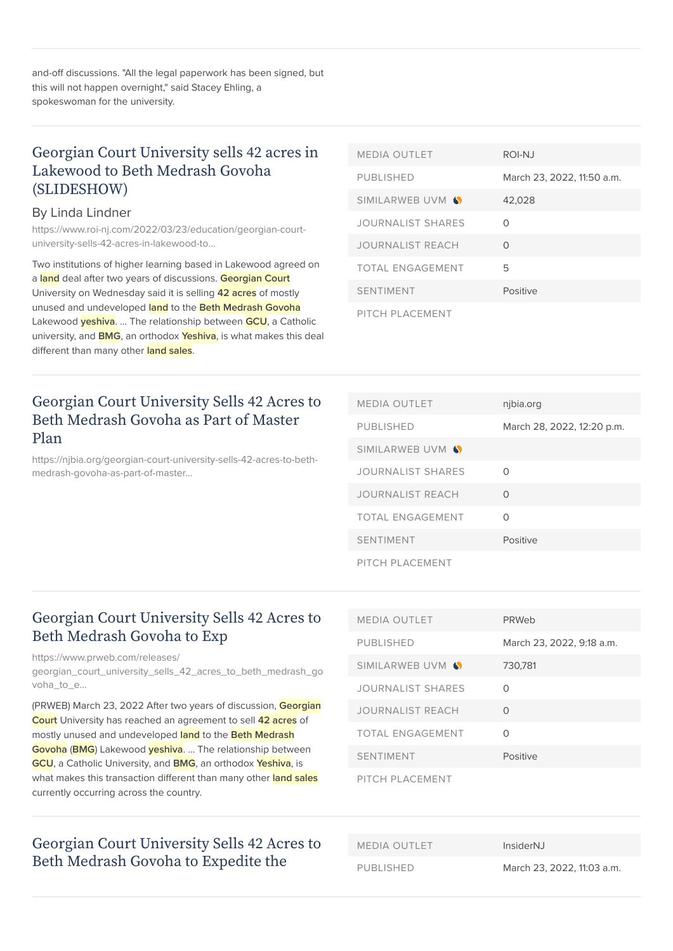and-off discussions. "All the legal paperwork has been signed, but this will not happen overnight," said Stacey Ehling, a spokeswoman for the university.

### [Georgian Court University sells 42 acres in](https://www.roi-nj.com/2022/03/23/education/georgian-court-university-sells-42-acres-in-lakewood-to-beth-medrash-govoha-slideshow/) [Lakewood to Beth Medrash Govoha](https://www.roi-nj.com/2022/03/23/education/georgian-court-university-sells-42-acres-in-lakewood-to-beth-medrash-govoha-slideshow/) [\(SLIDESHOW\)](https://www.roi-nj.com/2022/03/23/education/georgian-court-university-sells-42-acres-in-lakewood-to-beth-medrash-govoha-slideshow/)

#### By Linda Lindner

[https://www.roi-nj.com/2022/03/23/education/georgian-court](https://www.roi-nj.com/2022/03/23/education/georgian-court-university-sells-42-acres-in-lakewood-to-beth-medrash-govoha-slideshow/)[university-sells-42-acres-in-lakewood-to…](https://www.roi-nj.com/2022/03/23/education/georgian-court-university-sells-42-acres-in-lakewood-to-beth-medrash-govoha-slideshow/)

Two institutions of higher learning based in Lakewood agreed on a **land** deal after two years of discussions. **Georgian Court** University on Wednesday said it is selling **42 acres** of mostly unused and undeveloped **land** to the **Beth Medrash Govoha** Lakewood **yeshiva**. … The relationship between **GCU**, a Catholic university, and **BMG**, an orthodox **Yeshiva**, is what makes this deal different than many other **land sales**.

### [Georgian Court University Sells 42 Acres to](https://njbia.org/georgian-court-university-sells-42-acres-to-beth-medrash-govoha-as-part-of-master-plan/) [Beth Medrash Govoha as Part of Master](https://njbia.org/georgian-court-university-sells-42-acres-to-beth-medrash-govoha-as-part-of-master-plan/) [Plan](https://njbia.org/georgian-court-university-sells-42-acres-to-beth-medrash-govoha-as-part-of-master-plan/)

[https://njbia.org/georgian-court-university-sells-42-acres-to-beth](https://njbia.org/georgian-court-university-sells-42-acres-to-beth-medrash-govoha-as-part-of-master-plan/)[medrash-govoha-as-part-of-master…](https://njbia.org/georgian-court-university-sells-42-acres-to-beth-medrash-govoha-as-part-of-master-plan/)

| <b>MEDIA OUTLET</b>      | ROI-NJ                     |
|--------------------------|----------------------------|
| <b>PUBLISHED</b>         | March 23, 2022, 11:50 a.m. |
| SIMILARWEB UVM S         | 42,028                     |
| <b>JOURNALIST SHARES</b> | ∩                          |
| <b>JOURNALIST REACH</b>  | O                          |
| TOTAL FNGAGEMENT         | 5                          |
| <b>SENTIMENT</b>         | Positive                   |
| PITCH PLACEMENT          |                            |

| <b>MEDIA OUTLET</b>      | njbia.org                  |
|--------------------------|----------------------------|
| <b>PUBLISHED</b>         | March 28, 2022, 12:20 p.m. |
| SIMILARWEB UVM S         |                            |
| <b>JOURNALIST SHARES</b> | ∩                          |
| JOURNALIST REACH         | ∩                          |
| TOTAL ENGAGEMENT         | ∩                          |
| <b>SENTIMENT</b>         | Positive                   |
| PITCH PI ACEMENT         |                            |

### [Georgian Court University Sells 42 Acres to](https://www.prweb.com/releases/georgian_court_university_sells_42_acres_to_beth_medrash_govoha_to_expedite_the_launch_and_expansion_of_its_master_plan/prweb18574092.htm) [Beth Medrash Govoha to Exp](https://www.prweb.com/releases/georgian_court_university_sells_42_acres_to_beth_medrash_govoha_to_expedite_the_launch_and_expansion_of_its_master_plan/prweb18574092.htm)

[https://www.prweb.com/releases/](https://www.prweb.com/releases/georgian_court_university_sells_42_acres_to_beth_medrash_govoha_to_expedite_the_launch_and_expansion_of_its_master_plan/prweb18574092.htm)

[georgian\\_court\\_university\\_sells\\_42\\_acres\\_to\\_beth\\_medrash\\_go](https://www.prweb.com/releases/georgian_court_university_sells_42_acres_to_beth_medrash_govoha_to_expedite_the_launch_and_expansion_of_its_master_plan/prweb18574092.htm) voha\_to\_e...

(PRWEB) March 23, 2022 After two years of discussion, **Georgian Court** University has reached an agreement to sell **42 acres** of mostly unused and undeveloped **land** to the **Beth Medrash Govoha** (**BMG**) Lakewood **yeshiva**. … The relationship between **GCU**, a Catholic University, and **BMG**, an orthodox **Yeshiva**, is what makes this transaction different than many other **land sales** currently occurring across the country.

### [Georgian Court University Sells 42 Acres to](https://www.insidernj.com/press-release/georgian-court-university-sells-42-acres-to-beth-medrash-govoha-to-expedite-the-launch-and-expansion-of-its-master-plan/) [Beth Medrash Govoha to Expedite the](https://www.insidernj.com/press-release/georgian-court-university-sells-42-acres-to-beth-medrash-govoha-to-expedite-the-launch-and-expansion-of-its-master-plan/)

| <b>MEDIA OUTLET</b>      | PRWeb                     |
|--------------------------|---------------------------|
| <b>PUBLISHED</b>         | March 23, 2022, 9:18 a.m. |
| SIMILARWEB UVM S         | 730.781                   |
| <b>JOURNALIST SHARES</b> | ∩                         |
| <b>JOURNALIST REACH</b>  | $\Omega$                  |
| TOTAL ENGAGEMENT         | Ω                         |
| <b>SENTIMENT</b>         | Positive                  |
| PITCH PLACEMENT          |                           |

MEDIA OUTLET InsiderNJ PUBLISHED March 23, 2022, 11:03 a.m.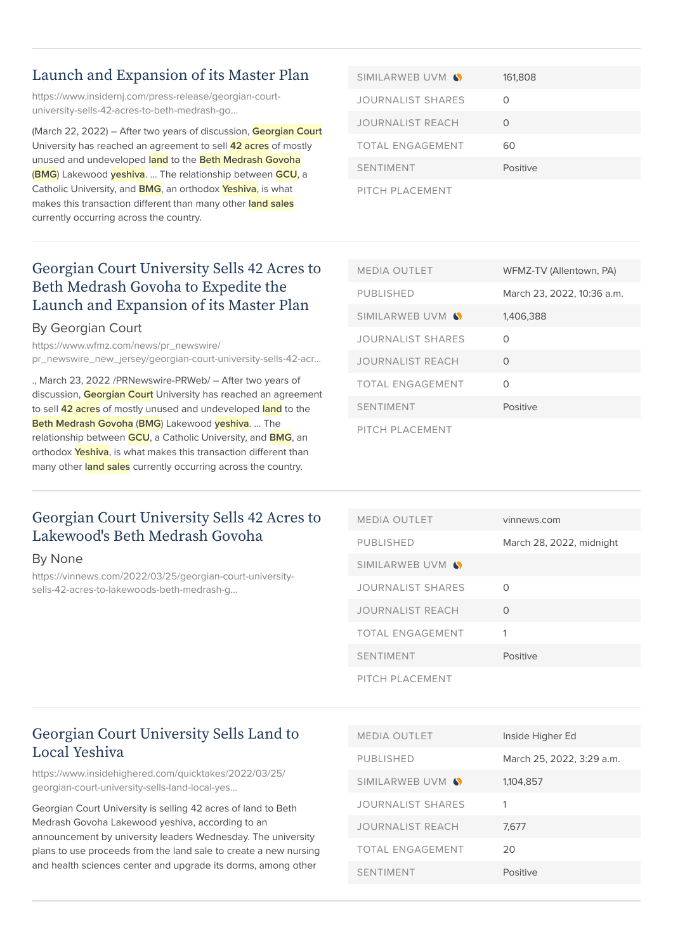### [Launch and Expansion of its Master Plan](https://www.insidernj.com/press-release/georgian-court-university-sells-42-acres-to-beth-medrash-govoha-to-expedite-the-launch-and-expansion-of-its-master-plan/)

[https://www.insidernj.com/press-release/georgian-court](https://www.insidernj.com/press-release/georgian-court-university-sells-42-acres-to-beth-medrash-govoha-to-expedite-the-launch-and-expansion-of-its-master-plan/)[university-sells-42-acres-to-beth-medrash-go…](https://www.insidernj.com/press-release/georgian-court-university-sells-42-acres-to-beth-medrash-govoha-to-expedite-the-launch-and-expansion-of-its-master-plan/)

(March 22, 2022) – After two years of discussion, **Georgian Court** University has reached an agreement to sell **42 acres** of mostly unused and undeveloped **land** to the **Beth Medrash Govoha** (**BMG**) Lakewood **yeshiva**. … The relationship between **GCU**, a Catholic University, and **BMG**, an orthodox **Yeshiva**, is what makes this transaction different than many other **land sales** currently occurring across the country.

| SIMILARWEB UVM S         | 161,808   |
|--------------------------|-----------|
| <b>JOURNALIST SHARES</b> | $\bigcap$ |
| JOURNALIST REACH         | ∩         |
| <b>TOTAL ENGAGEMENT</b>  | 60        |
| <b>SENTIMENT</b>         | Positive  |
| PITCH PLACEMENT          |           |

### [Georgian Court University Sells 42 Acres to](https://www.wfmz.com/news/pr_newswire/pr_newswire_new_jersey/georgian-court-university-sells-42-acres-to-beth-medrash-govoha-to-expedite-the-launch-and/article_ef4c16d6-c842-51dd-8940-2c88ef83d4b3.html) [Beth Medrash Govoha to Expedite the](https://www.wfmz.com/news/pr_newswire/pr_newswire_new_jersey/georgian-court-university-sells-42-acres-to-beth-medrash-govoha-to-expedite-the-launch-and/article_ef4c16d6-c842-51dd-8940-2c88ef83d4b3.html) [Launch and Expansion of its Master Plan](https://www.wfmz.com/news/pr_newswire/pr_newswire_new_jersey/georgian-court-university-sells-42-acres-to-beth-medrash-govoha-to-expedite-the-launch-and/article_ef4c16d6-c842-51dd-8940-2c88ef83d4b3.html)

#### By Georgian Court

[https://www.wfmz.com/news/pr\\_newswire/](https://www.wfmz.com/news/pr_newswire/pr_newswire_new_jersey/georgian-court-university-sells-42-acres-to-beth-medrash-govoha-to-expedite-the-launch-and/article_ef4c16d6-c842-51dd-8940-2c88ef83d4b3.html) [pr\\_newswire\\_new\\_jersey/georgian-court-university-sells-42-acr…](https://www.wfmz.com/news/pr_newswire/pr_newswire_new_jersey/georgian-court-university-sells-42-acres-to-beth-medrash-govoha-to-expedite-the-launch-and/article_ef4c16d6-c842-51dd-8940-2c88ef83d4b3.html)

., March 23, 2022 /PRNewswire-PRWeb/ -- After two years of discussion, **Georgian Court** University has reached an agreement to sell **42 acres** of mostly unused and undeveloped **land** to the **Beth Medrash Govoha** (**BMG**) Lakewood **yeshiva**. … The relationship between **GCU**, a Catholic University, and **BMG**, an orthodox **Yeshiva**, is what makes this transaction different than many other **land sales** currently occurring across the country.

| <b>MEDIA OUTLET</b>      | WFMZ-TV (Allentown, PA)    |
|--------------------------|----------------------------|
| <b>PUBLISHED</b>         | March 23, 2022, 10:36 a.m. |
| SIMILARWEB UVM S         | 1,406,388                  |
| <b>JOURNALIST SHARES</b> | ∩                          |
| JOURNALIST REACH         | 0                          |
| TOTAL ENGAGEMENT         | ∩                          |
| <b>SENTIMENT</b>         | Positive                   |
| PITCH PLACEMENT          |                            |

### [Georgian Court University Sells 42 Acres to](https://vinnews.com/2022/03/25/georgian-court-university-sells-42-acres-to-lakewoods-beth-medrash-govoha/) [Lakewood's Beth Medrash Govoha](https://vinnews.com/2022/03/25/georgian-court-university-sells-42-acres-to-lakewoods-beth-medrash-govoha/)

#### By None

[https://vinnews.com/2022/03/25/georgian-court-university](https://vinnews.com/2022/03/25/georgian-court-university-sells-42-acres-to-lakewoods-beth-medrash-govoha/)[sells-42-acres-to-lakewoods-beth-medrash-g…](https://vinnews.com/2022/03/25/georgian-court-university-sells-42-acres-to-lakewoods-beth-medrash-govoha/)

| <b>MEDIA OUTLET</b>     | vinnews.com              |
|-------------------------|--------------------------|
| <b>PUBLISHED</b>        | March 28, 2022, midnight |
| SIMILARWEB UVM S        |                          |
| JOURNALIST SHARES       | ∩                        |
| <b>JOURNALIST REACH</b> | 0                        |
| <b>TOTAL ENGAGEMENT</b> | 1                        |
| <b>SENTIMENT</b>        | Positive                 |
| PITCH PLACEMENT         |                          |

### [Georgian Court University Sells Land to](https://www.insidehighered.com/quicktakes/2022/03/25/georgian-court-university-sells-land-local-yeshiva) [Local Yeshiva](https://www.insidehighered.com/quicktakes/2022/03/25/georgian-court-university-sells-land-local-yeshiva)

[https://www.insidehighered.com/quicktakes/2022/03/25/](https://www.insidehighered.com/quicktakes/2022/03/25/georgian-court-university-sells-land-local-yeshiva) [georgian-court-university-sells-land-local-yes…](https://www.insidehighered.com/quicktakes/2022/03/25/georgian-court-university-sells-land-local-yeshiva)

Georgian Court University is selling 42 acres of land to Beth Medrash Govoha Lakewood yeshiva, according to an announcement by university leaders Wednesday. The university plans to use proceeds from the land sale to create a new nursing and health sciences center and upgrade its dorms, among other

| <b>MEDIA OUTLET</b>     | Inside Higher Ed          |
|-------------------------|---------------------------|
| <b>PUBLISHED</b>        | March 25, 2022, 3:29 a.m. |
| SIMILARWEB UVM S        | 1,104,857                 |
| JOURNALIST SHARES       | 1                         |
| <b>JOURNALIST REACH</b> | 7.677                     |
| TOTAL ENGAGEMENT        | 20                        |
| <b>SENTIMENT</b>        | Positive                  |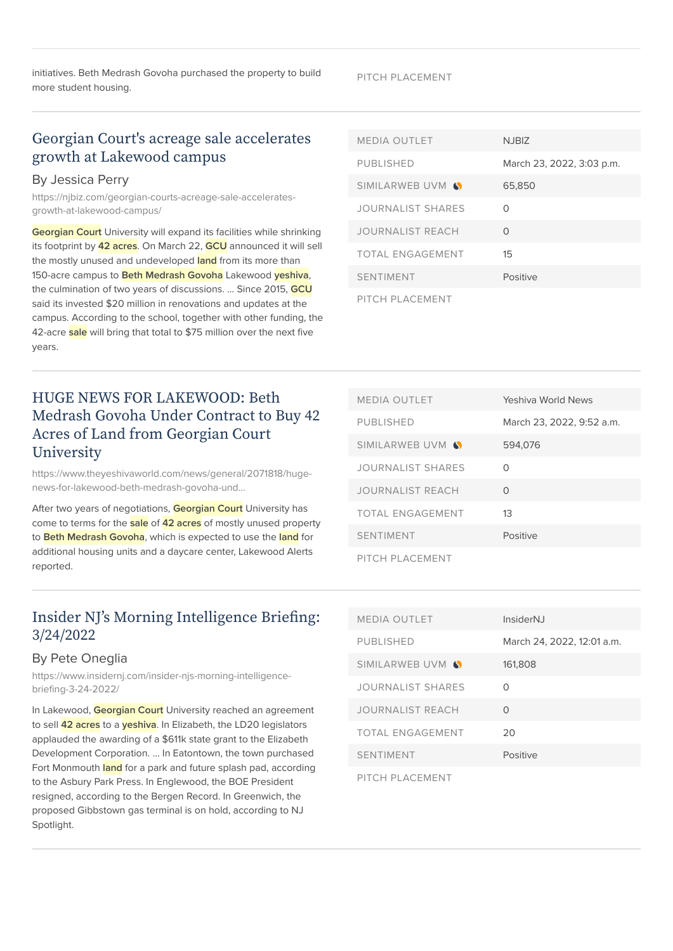initiatives. Beth Medrash Govoha purchased the property to build more student housing.

### [Georgian Court's acreage sale accelerates](https://njbiz.com/georgian-courts-acreage-sale-accelerates-growth-at-lakewood-campus/) [growth at Lakewood campus](https://njbiz.com/georgian-courts-acreage-sale-accelerates-growth-at-lakewood-campus/)

#### By Jessica Perry

[https://njbiz.com/georgian-courts-acreage-sale-accelerates](https://njbiz.com/georgian-courts-acreage-sale-accelerates-growth-at-lakewood-campus/)[growth-at-lakewood-campus/](https://njbiz.com/georgian-courts-acreage-sale-accelerates-growth-at-lakewood-campus/)

**Georgian Court** University will expand its facilities while shrinking its footprint by **42 acres**. On March 22, **GCU** announced it will sell the mostly unused and undeveloped **land** from its more than 150-acre campus to **Beth Medrash Govoha** Lakewood **yeshiva**, the culmination of two years of discussions. … Since 2015, **GCU** said its invested \$20 million in renovations and updates at the campus. According to the school, together with other funding, the 42-acre **sale** will bring that total to \$75 million over the next five years.

### [HUGE NEWS FOR LAKEWOOD: Beth](https://www.theyeshivaworld.com/news/general/2071818/huge-news-for-lakewood-beth-medrash-govoha-under-contract-to-buy-42-acres-of-land-from-georgian-court-university.html) [Medrash Govoha Under Contract to Buy 42](https://www.theyeshivaworld.com/news/general/2071818/huge-news-for-lakewood-beth-medrash-govoha-under-contract-to-buy-42-acres-of-land-from-georgian-court-university.html) [Acres of Land from Georgian Court](https://www.theyeshivaworld.com/news/general/2071818/huge-news-for-lakewood-beth-medrash-govoha-under-contract-to-buy-42-acres-of-land-from-georgian-court-university.html) **[University](https://www.theyeshivaworld.com/news/general/2071818/huge-news-for-lakewood-beth-medrash-govoha-under-contract-to-buy-42-acres-of-land-from-georgian-court-university.html)**

[https://www.theyeshivaworld.com/news/general/2071818/huge](https://www.theyeshivaworld.com/news/general/2071818/huge-news-for-lakewood-beth-medrash-govoha-under-contract-to-buy-42-acres-of-land-from-georgian-court-university.html)[news-for-lakewood-beth-medrash-govoha-und…](https://www.theyeshivaworld.com/news/general/2071818/huge-news-for-lakewood-beth-medrash-govoha-under-contract-to-buy-42-acres-of-land-from-georgian-court-university.html)

After two years of negotiations, **Georgian Court** University has come to terms for the **sale** of **42 acres** of mostly unused property to **Beth Medrash Govoha**, which is expected to use the **land** for additional housing units and a daycare center, Lakewood Alerts reported.

### [Insider NJ's Morning Intelligence Briefing:](https://www.insidernj.com/insider-njs-morning-intelligence-briefing-3-24-2022/) [3/24/2022](https://www.insidernj.com/insider-njs-morning-intelligence-briefing-3-24-2022/)

#### By Pete Oneglia

[https://www.insidernj.com/insider-njs-morning-intelligence](https://www.insidernj.com/insider-njs-morning-intelligence-briefing-3-24-2022/)[briefing-3-24-2022/](https://www.insidernj.com/insider-njs-morning-intelligence-briefing-3-24-2022/)

In Lakewood, **Georgian Court** University reached an agreement to sell **42 acres** to a **yeshiva**. In Elizabeth, the LD20 legislators applauded the awarding of a \$611k state grant to the Elizabeth Development Corporation. … In Eatontown, the town purchased Fort Monmouth **land** for a park and future splash pad, according to the Asbury Park Press. In Englewood, the BOE President resigned, according to the Bergen Record. In Greenwich, the proposed Gibbstown gas terminal is on hold, according to NJ Spotlight.

| <b>MEDIA OUTLET</b>      | <b>NJBIZ</b>              |
|--------------------------|---------------------------|
| <b>PUBLISHED</b>         | March 23, 2022, 3:03 p.m. |
| SIMILARWEB UVM S         | 65,850                    |
| <b>JOURNALIST SHARES</b> | Ω                         |
| <b>JOURNALIST REACH</b>  | $\Omega$                  |
| <b>TOTAL ENGAGEMENT</b>  | $15\overline{)}$          |
| <b>SENTIMENT</b>         | Positive                  |
| PITCH PLACEMENT          |                           |

| <b>MEDIA OUTLET</b>      | Yeshiya World News        |
|--------------------------|---------------------------|
| <b>PUBLISHED</b>         | March 23, 2022, 9:52 a.m. |
| SIMILARWEB UVM S         | 594.076                   |
| <b>JOURNALIST SHARES</b> | ∩                         |
| <b>JOURNALIST REACH</b>  | $\Omega$                  |
| <b>TOTAL ENGAGEMENT</b>  | 13                        |
| <b>SENTIMENT</b>         | Positive                  |
| PITCH PLACEMENT          |                           |

| <b>MEDIA OUTLET</b>      | <i>InsiderNJ</i>           |
|--------------------------|----------------------------|
| <b>PUBLISHED</b>         | March 24, 2022, 12:01 a.m. |
| SIMILARWEB UVM S         | 161,808                    |
| <b>JOURNALIST SHARES</b> | ∩                          |
| <b>JOURNALIST REACH</b>  | $\Omega$                   |
| <b>TOTAL ENGAGEMENT</b>  | 20                         |
| <b>SENTIMENT</b>         | Positive                   |
| PITCH PLACEMENT          |                            |

#### PITCH PLACEMENT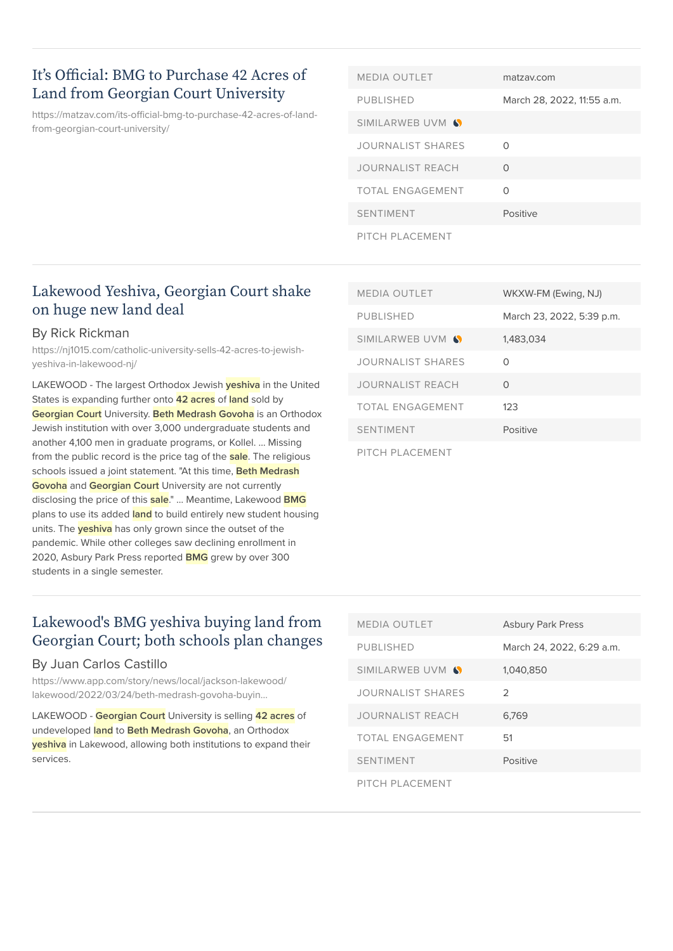### [It's Official: BMG to Purchase 42 Acres of](https://matzav.com/its-official-bmg-to-purchase-42-acres-of-land-from-georgian-court-university/) [Land from Georgian Court University](https://matzav.com/its-official-bmg-to-purchase-42-acres-of-land-from-georgian-court-university/)

[https://matzav.com/its-official-bmg-to-purchase-42-acres-of-land](https://matzav.com/its-official-bmg-to-purchase-42-acres-of-land-from-georgian-court-university/)[from-georgian-court-university/](https://matzav.com/its-official-bmg-to-purchase-42-acres-of-land-from-georgian-court-university/)

| <b>MEDIA OUTLET</b>      | matzav.com                 |
|--------------------------|----------------------------|
| <b>PUBLISHED</b>         | March 28, 2022, 11:55 a.m. |
| SIMILARWEB UVM S         |                            |
| <b>JOURNALIST SHARES</b> | ∩                          |
| <b>JOURNALIST REACH</b>  | ∩                          |
| <b>TOTAL ENGAGEMENT</b>  | Ω                          |
| <b>SENTIMENT</b>         | Positive                   |
| PITCH PLACEMENT          |                            |

### [Lakewood Yeshiva, Georgian Court shake](https://nj1015.com/catholic-university-sells-42-acres-to-jewish-yeshiva-in-lakewood-nj/) [on huge new land deal](https://nj1015.com/catholic-university-sells-42-acres-to-jewish-yeshiva-in-lakewood-nj/)

#### By Rick Rickman

[https://nj1015.com/catholic-university-sells-42-acres-to-jewish](https://nj1015.com/catholic-university-sells-42-acres-to-jewish-yeshiva-in-lakewood-nj/)[yeshiva-in-lakewood-nj/](https://nj1015.com/catholic-university-sells-42-acres-to-jewish-yeshiva-in-lakewood-nj/)

LAKEWOOD - The largest Orthodox Jewish **yeshiva** in the United States is expanding further onto **42 acres** of **land** sold by **Georgian Court** University. **Beth Medrash Govoha** is an Orthodox Jewish institution with over 3,000 undergraduate students and another 4,100 men in graduate programs, or Kollel. … Missing from the public record is the price tag of the **sale**. The religious schools issued a joint statement. "At this time, **Beth Medrash Govoha** and **Georgian Court** University are not currently disclosing the price of this **sale**." … Meantime, Lakewood **BMG** plans to use its added **land** to build entirely new student housing units. The **yeshiva** has only grown since the outset of the pandemic. While other colleges saw declining enrollment in 2020, Asbury Park Press reported **BMG** grew by over 300 students in a single semester.

| <b>MEDIA OUTLET</b>      | WKXW-FM (Ewing, NJ)       |
|--------------------------|---------------------------|
| <b>PUBLISHED</b>         | March 23, 2022, 5:39 p.m. |
| SIMILARWEB UVM S         | 1,483,034                 |
| <b>JOURNALIST SHARES</b> | Ω                         |
| JOURNALIST REACH         | O                         |
| TOTAL ENGAGEMENT         | 123                       |
| <b>SENTIMENT</b>         | Positive                  |
| PITCH PLACEMENT          |                           |

### [Lakewood's BMG yeshiva buying land from](https://www.app.com/story/news/local/jackson-lakewood/lakewood/2022/03/24/beth-medrash-govoha-buying-42-acres-georgian-court-university-lakewood/7146582001/) [Georgian Court; both schools plan changes](https://www.app.com/story/news/local/jackson-lakewood/lakewood/2022/03/24/beth-medrash-govoha-buying-42-acres-georgian-court-university-lakewood/7146582001/)

#### By Juan Carlos Castillo

[https://www.app.com/story/news/local/jackson-lakewood/](https://www.app.com/story/news/local/jackson-lakewood/lakewood/2022/03/24/beth-medrash-govoha-buying-42-acres-georgian-court-university-lakewood/7146582001/) [lakewood/2022/03/24/beth-medrash-govoha-buyin…](https://www.app.com/story/news/local/jackson-lakewood/lakewood/2022/03/24/beth-medrash-govoha-buying-42-acres-georgian-court-university-lakewood/7146582001/)

LAKEWOOD - **Georgian Court** University is selling **42 acres** of undeveloped **land** to **Beth Medrash Govoha**, an Orthodox **yeshiva** in Lakewood, allowing both institutions to expand their services.

| <b>MEDIA OUTLET</b>     | <b>Asbury Park Press</b>  |
|-------------------------|---------------------------|
| <b>PUBLISHED</b>        | March 24, 2022, 6:29 a.m. |
| SIMILARWEB UVM S        | 1,040,850                 |
| JOURNALIST SHARES       | $\mathcal{P}$             |
| <b>JOURNALIST REACH</b> | 6.769                     |
| TOTAL ENGAGEMENT        | .51                       |
| <b>SENTIMENT</b>        | Positive                  |
| PITCH PLACEMENT         |                           |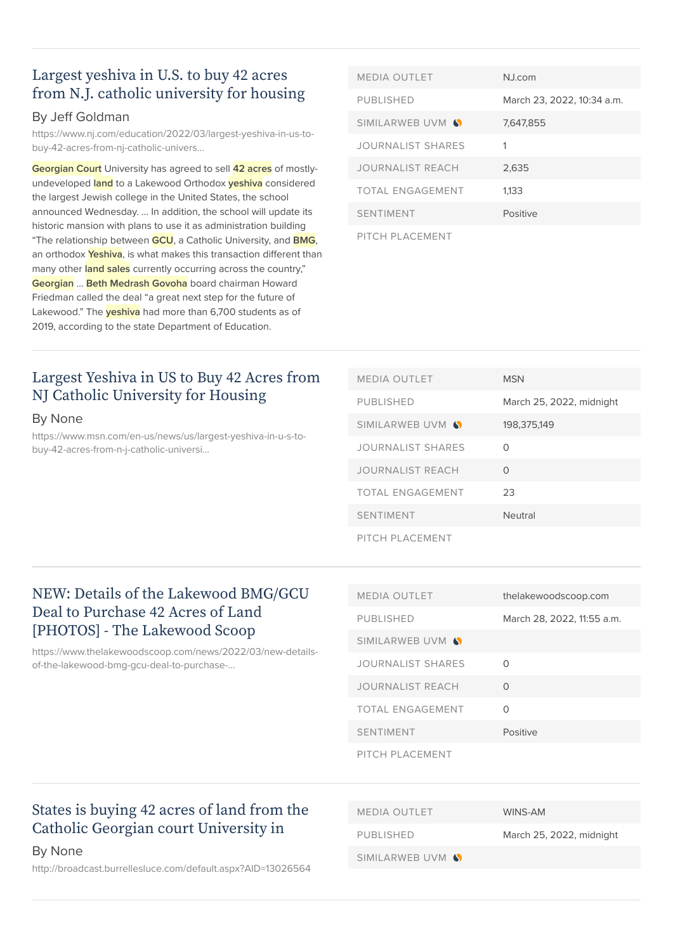### [Largest yeshiva in U.S. to buy 42 acres](https://www.nj.com/education/2022/03/largest-yeshiva-in-us-to-buy-42-acres-from-nj-catholic-university-for-housing.html) [from N.J. catholic university for housing](https://www.nj.com/education/2022/03/largest-yeshiva-in-us-to-buy-42-acres-from-nj-catholic-university-for-housing.html)

### By Jeff Goldman

[https://www.nj.com/education/2022/03/largest-yeshiva-in-us-to](https://www.nj.com/education/2022/03/largest-yeshiva-in-us-to-buy-42-acres-from-nj-catholic-university-for-housing.html)[buy-42-acres-from-nj-catholic-univers…](https://www.nj.com/education/2022/03/largest-yeshiva-in-us-to-buy-42-acres-from-nj-catholic-university-for-housing.html)

**Georgian Court** University has agreed to sell **42 acres** of mostlyundeveloped **land** to a Lakewood Orthodox **yeshiva** considered the largest Jewish college in the United States, the school announced Wednesday. … In addition, the school will update its historic mansion with plans to use it as administration building "The relationship between **GCU**, a Catholic University, and **BMG**, an orthodox **Yeshiva**, is what makes this transaction different than many other **land sales** currently occurring across the country," **Georgian** … **Beth Medrash Govoha** board chairman Howard Friedman called the deal "a great next step for the future of Lakewood." The **yeshiva** had more than 6,700 students as of 2019, according to the state Department of Education.

| <b>MEDIA OUTLET</b>     | <b>N</b> .Lcom             |
|-------------------------|----------------------------|
| <b>PUBLISHED</b>        | March 23, 2022, 10:34 a.m. |
| SIMILARWEB UVM S        | 7.647.855                  |
| JOURNALIST SHARES       |                            |
| <b>JOURNALIST REACH</b> | 2,635                      |
| <b>TOTAL ENGAGEMENT</b> | 1.133                      |
| <b>SENTIMENT</b>        | Positive                   |
| PITCH PLACEMENT         |                            |

### [Largest Yeshiva in US to Buy 42 Acres from](https://www.msn.com/en-us/news/us/largest-yeshiva-in-u-s-to-buy-42-acres-from-n-j-catholic-university-for-housing/ar-AAVpL5d) [NJ Catholic University for Housing](https://www.msn.com/en-us/news/us/largest-yeshiva-in-u-s-to-buy-42-acres-from-n-j-catholic-university-for-housing/ar-AAVpL5d)

#### By None

[https://www.msn.com/en-us/news/us/largest-yeshiva-in-u-s-to](https://www.msn.com/en-us/news/us/largest-yeshiva-in-u-s-to-buy-42-acres-from-n-j-catholic-university-for-housing/ar-AAVpL5d)[buy-42-acres-from-n-j-catholic-universi…](https://www.msn.com/en-us/news/us/largest-yeshiva-in-u-s-to-buy-42-acres-from-n-j-catholic-university-for-housing/ar-AAVpL5d)

| <b>MEDIA OUTLET</b>      | <b>MSN</b>               |
|--------------------------|--------------------------|
| <b>PUBLISHED</b>         | March 25, 2022, midnight |
| SIMILARWEB UVM S         | 198,375,149              |
| <b>JOURNALIST SHARES</b> | ∩                        |
| <b>JOURNALIST REACH</b>  | $\Omega$                 |
| <b>TOTAL ENGAGEMENT</b>  | 23                       |
| <b>SENTIMENT</b>         | Neutral                  |
| PITCH PLACEMENT          |                          |

### [NEW: Details of the Lakewood BMG/GCU](https://www.thelakewoodscoop.com/news/2022/03/new-details-of-the-lakewood-bmg-gcu-deal-to-purchase-42-acres-photos.html) [Deal to Purchase 42 Acres of Land](https://www.thelakewoodscoop.com/news/2022/03/new-details-of-the-lakewood-bmg-gcu-deal-to-purchase-42-acres-photos.html) [\[PHOTOS\] - The Lakewood Scoop](https://www.thelakewoodscoop.com/news/2022/03/new-details-of-the-lakewood-bmg-gcu-deal-to-purchase-42-acres-photos.html)

[https://www.thelakewoodscoop.com/news/2022/03/new-details](https://www.thelakewoodscoop.com/news/2022/03/new-details-of-the-lakewood-bmg-gcu-deal-to-purchase-42-acres-photos.html)[of-the-lakewood-bmg-gcu-deal-to-purchase-…](https://www.thelakewoodscoop.com/news/2022/03/new-details-of-the-lakewood-bmg-gcu-deal-to-purchase-42-acres-photos.html)

| <b>MEDIA OUTLET</b>     | thelakewoodscoop.com       |
|-------------------------|----------------------------|
| <b>PUBLISHED</b>        | March 28, 2022, 11:55 a.m. |
| SIMILARWEB UVM 6        |                            |
| JOURNALIST SHARES       | ∩                          |
| <b>JOURNALIST REACH</b> | $\Omega$                   |
| TOTAL ENGAGEMENT        | O                          |
| <b>SENTIMENT</b>        | Positive                   |
| PITCH PLACEMENT         |                            |

## [States is buying 42 acres of land from the](http://broadcast.burrellesluce.com/default.aspx?AID=13026564) [Catholic Georgian court University in](http://broadcast.burrellesluce.com/default.aspx?AID=13026564)

#### By None

<http://broadcast.burrellesluce.com/default.aspx?AID=13026564>

| <b>MEDIA OUTLET</b> | WINS-AM   |
|---------------------|-----------|
| PUBLISHED           | March 25. |
| SIMILARWEB UVM S    |           |

larch 25, 2022, midnight